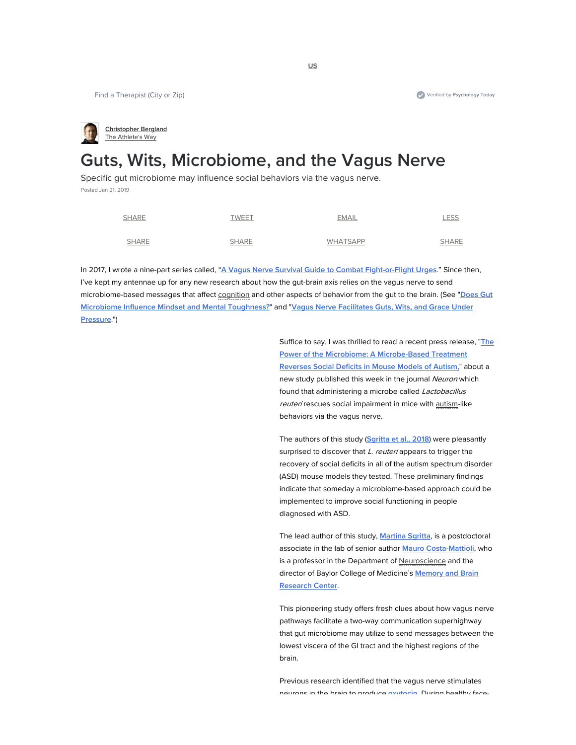**Christopher Bergland** The Athlete's Way

# **Guts, Wits, Microbiome, and the Vagus Nerve**

Specific gut microbiome may influence social behaviors via the vagus nerve. Posted Jan 21, 2019

| <b>SHARE</b> | <b>TWEET</b> | <b>EMAIL</b>    | <b>LESS</b>  |
|--------------|--------------|-----------------|--------------|
| <b>SHARE</b> | <b>SHARE</b> | <b>WHATSAPP</b> | <b>SHARE</b> |

In 2017, I wrote a nine-part series called, "**A Vagus Nerve Survival Guide to Combat Fight-or-Flight Urges**." Since then, I've kept my antennae up for any new research about how the gut-brain axis relies on the vagus nerve to send microbiome-based messages that affect cognition and other aspects of behavior from the gut to the brain. (See "**Does Gut Microbiome Influence Mindset and Mental Toughness?**" and "**Vagus Nerve Facilitates Guts, Wits, and Grace Under Pressure**.")

> Suffice to say, I was thrilled to read a recent press release, "**The Power of the Microbiome: A Microbe-Based Treatment Reverses Social Deficits in Mouse Models of Autism,**" about a new study published this week in the journal Neuron which found that administering a microbe called Lactobacillus reuteri rescues social impairment in mice with autism-like behaviors via the vagus nerve.

> The authors of this study (**Sgritta et al., 2018**) were pleasantly surprised to discover that L. reuteri appears to trigger the recovery of social deficits in all of the autism spectrum disorder (ASD) mouse models they tested. These preliminary findings indicate that someday a microbiome-based approach could be implemented to improve social functioning in people diagnosed with ASD.

> The lead author of this study, **Martina Sgritta**, is a postdoctoral associate in the lab of senior author **Mauro Costa-Mattioli**, who is a professor in the Department of Neuroscience and the director of Baylor College of Medicine's **Memory and Brain Research Center**.

> This pioneering study offers fresh clues about how vagus nerve pathways facilitate a two-way communication superhighway that gut microbiome may utilize to send messages between the lowest viscera of the GI tract and the highest regions of the brain.

Previous research identified that the vagus nerve stimulates neurons in the brain to produce **oxytocin** During healthy face-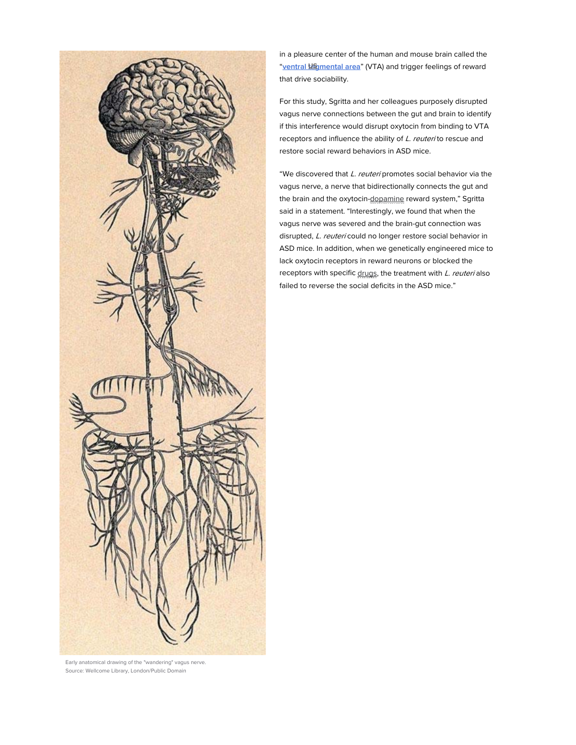

in a pleasure center of the human and mouse brain called the "ventral **US** mental area" (VTA) and trigger feelings of reward that drive sociability.

For this study, Sgritta and her colleagues purposely disrupted vagus nerve connections between the gut and brain to identify if this interference would disrupt oxytocin from binding to VTA receptors and influence the ability of L. reuteri to rescue and restore social reward behaviors in ASD mice.

"We discovered that L. reuteri promotes social behavior via the vagus nerve, a nerve that bidirectionally connects the gut and the brain and the oxytocin-dopamine reward system," Sgritta said in a statement. "Interestingly, we found that when the vagus nerve was severed and the brain-gut connection was disrupted, L. reuteri could no longer restore social behavior in ASD mice. In addition, when we genetically engineered mice to lack oxytocin receptors in reward neurons or blocked the receptors with specific drugs, the treatment with L. reuteri also failed to reverse the social deficits in the ASD mice."

Early anatomical drawing of the "wandering" vagus nerve. Source: Wellcome Library, London/Public Domain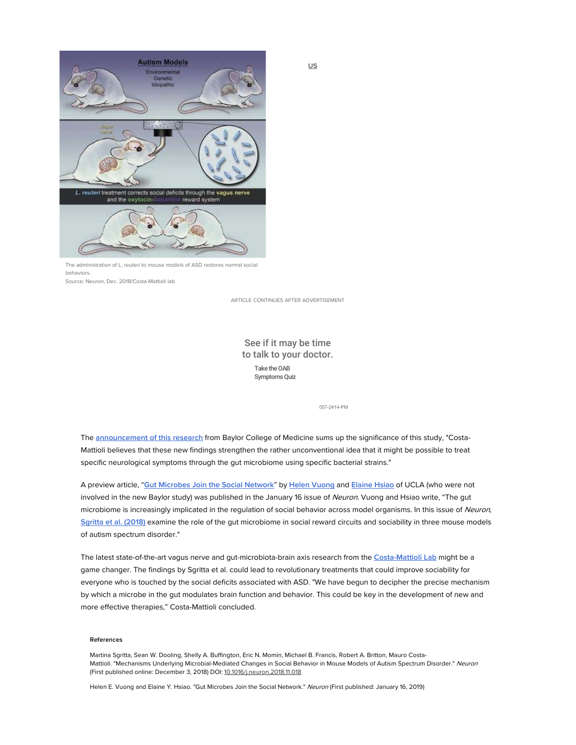

The administration of L. reuteri to mouse models of ASD restores normal social behaviors.

Source: Neuron, Dec. 2018/Costa-Mattioli lab

ARTICLE CONTINUES AFTER ADVERTISEMENT

## See if it may be time to talk to your doctor. Take the OAB Symptoms Quiz

057-2414-PM

The **announcement of this research** from Baylor College of Medicine sums up the significance of this study, "Costa-Mattioli believes that these new findings strengthen the rather unconventional idea that it might be possible to treat specific neurological symptoms through the gut microbiome using specific bacterial strains."

A preview article, "**Gut Microbes Join the Social Network**" by **Helen Vuong** and **Elaine Hsiao** of UCLA (who were not involved in the new Baylor study) was published in the January 16 issue of Neuron. Vuong and Hsiao write, "The gut microbiome is increasingly implicated in the regulation of social behavior across model organisms. In this issue of Neuron, **Sgritta et al. (2018)** examine the role of the gut microbiome in social reward circuits and sociability in three mouse models of autism spectrum disorder."

The latest state-of-the-art vagus nerve and gut-microbiota-brain axis research from the **Costa-Mattioli Lab** might be a game changer. The findings by Sgritta et al. could lead to revolutionary treatments that could improve sociability for everyone who is touched by the social deficits associated with ASD. "We have begun to decipher the precise mechanism by which a microbe in the gut modulates brain function and behavior. This could be key in the development of new and more effective therapies," Costa-Mattioli concluded.

#### **References**

Martina Sgritta, Sean W. Dooling, Shelly A. Buffington, Eric N. Momin, Michael B. Francis, Robert A. Britton, Mauro Costa-Mattioli. "Mechanisms Underlying Microbial-Mediated Changes in Social Behavior in Mouse Models of Autism Spectrum Disorder." Neuron (First published online: December 3, 2018) DOI: 10.1016/j.neuron.2018.11.018

Helen E. Vuong and Elaine Y. Hsiao. "Gut Microbes Join the Social Network." Neuron (First published: January 16, 2019)

**US**